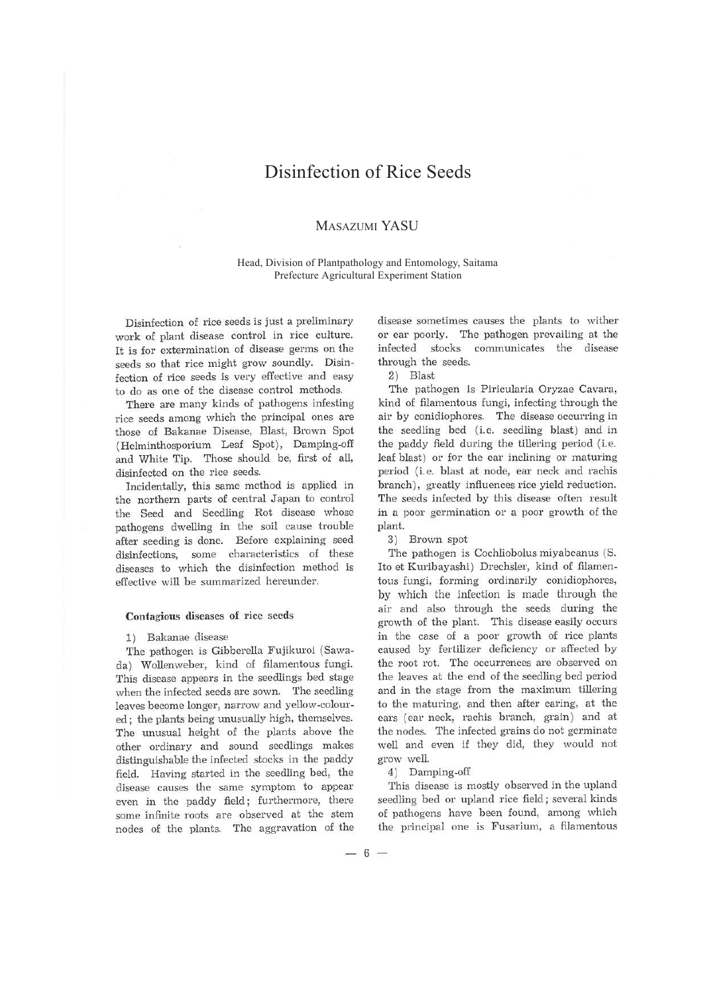# Disinfection of Rice Seeds

## MASAZUMI YASU

Head, Division of Plantpathology and Entomology, Saitama Prefecture Agricultural Experiment Station

Disinfection of rice seeds is just a preliminary work of plant disease control in rice culture. It is for extermination of disease germs on the seeds so that rice might grow soundly. Disinfection of rice seeds is very effective and easy to do as one of the disease control methods.

There are many kinds of pathogens infesting rice seeds among which the principal ones are those of Bakanae Disease, Blast, Brown Spot (Helminthosporium Leaf Spot), Damping-off and White Tip. Those should be, first of all, disinfected on the rice seeds.

Incidentally, this same method is applied in the northem parts of central Japan to control the Seed and Seedling Rot disease whose pathogens dwelling in the soil cause trouble after seeding is done. Before explaining seed disinfections, some characteristics of these diseases to which the disinfection method is effective will be summarized hereunder.

### Contagious diseases of rice seeds

#### 1) Bakanae disease

The pathogen is Gibberella Fujikuroi (Sawada) Wollenweber, kind of filamentous fungi. This disease appears in the seedlings bed stage when the infected seeds are sown. The seedling leaves become longer, narrow and yellow-coloured ; the plants being unusually high, themselves. The unusual height of the plants above the other ordinary and sound seedlings makes distinguishable the infected stocks in the paddy field. Having started in the seedling bed, the disease causes the same symptom to appear even in the paddy field; furthermore, there some infinite roots are observed at the stem nodes of the plants. The aggravation of the disease sometimes causes the plants to wither or ear poorly. The pathogen prevailing at the infected stocks communicates the disease through the seeds.

2) Blast

The pathogen is Piricularia Oryzae Cavara, kind of filamentous fungi, infecting through the air by conidiophores. The disease occurring in the seedling bed (i.e. seedling blast) and in the paddy field during the tillering period (i.e. leaf blast) or for the ear inclining or maturing period (i.e. blast at node, ear neck and rachis branch), greatly influences rice yield reduction. The seeds infected by this disease often result in a poor germination or a poor growth of the plant.

3) Brown spot

The pathogen is Cochliobolus miyabeanus (S. Ito et Kuribayashi) Drechsler, kind of filamentous fungi, forming ordinarily conidiophores, by which the infection is made through the air and also through the seeds during the growth of the plant. This disease easily occurs in the case of a poor growth of rice plants caused by fertilizer deficiency or affected by the root rot. The occurrences are observed on the leaves at the end of the seedling bed period and in the stage from the maximum tillering to the maturing, and then after earing, at the ears (ear neck, rachis branch, grain) and at the nodes. The infected grains do not germinate well and even if they did, they would not grow well.

4) Damping-off

This disease is mostly observed in the upland seedling bed or upland rice field; several kinds of pathogens have been found, among which the principal one is Fusarium, a filamentous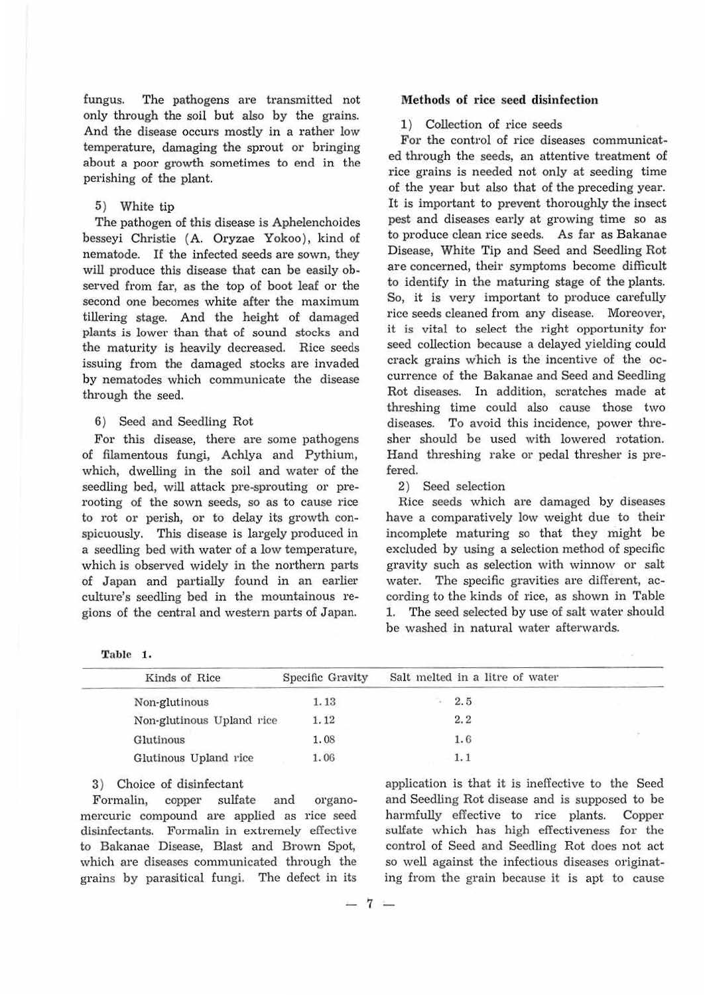fungus. The pathogens are transmitted not only through the soil but also by the grains. And the disease occurs mostly in a rather low temperature, damaging the sprout or bringing about a poor growth sometimes to end in the perishing of the plant.

## 5) White tip

The pathogen of this disease is Aphelenchoides besseyi Christie (A. Oryzae Yokoo), kind of nematode. If the infected seeds are sown, they will produce this disease that can be easily observed from far, as the top of boot leaf or the second one becomes white after the maximum tillering stage. And the height of damaged plants is lower than that of sound stocks and the maturity is heavily decreased. Rice seeds issuing from the damaged stocks are invaded by nematodes which communicate the disease through the seed.

### 6) Seed and Seedling Rot

For this disease, there are some pathogens of filamentous fungi, Achlya and Pythium, which, dwelling in the soil and water of the seedling bed, will attack pre-sprouting or prerooting of the sown seeds, so as to cause rice to rot or perish, or to delay its growth conspicuously. This disease is largely produced in a seedling bed with water of a low temperature, which is observed widely in the northern parts of Japan and partially found in an earlier culture's seedling bed in the mountainous regions of the central and western parts of Japan.

| Table | 1. |
|-------|----|
|       |    |

#### Methods of rice seed disinfection

## 1) Collection of rice seeds

For the control of rice diseases communicated through the seeds, an attentive treatment of rice grains is needed not only at seeding time of the year but also that of the preceding year. It is important to prevent thoroughly the insect pest and diseases early at growing time so as to produce clean rice seeds. As far as Bakanae Disease, White Tip and Seed and Seedling Rot are concerned, their symptoms become difficult to identify in the maturing stage of the plants. So, it is very important to produce carefully rice seeds cleaned from any disease. Moreover, it is vital to select the right opportunity for seed collection because a delayed yielding could crack grains w'hich is the incentive of the occurrence of the Bakanae and Seed and Seedling Rot diseases. In addition, scratches made at threshing time could also cause those two diseases. To avoid this incidence, power thresher should be used with lowered rotation. Hand threshing rake or pedal thresher is prefered.

### 2) Seed selection

Rice seeds which are damaged by diseases have a comparatively low weight due to their incomplete maturing so that they might be excluded by using a selection method of specific gravity such as selection with winnow or salt water. The specific gravities are different, according to the kinds of rice, as shown in Table 1. The seed selected by use of salt water should be washed in natural water afterwards.

| Kinds of Rice             | Specific Gravity | Salt melted in a litre of water |  |
|---------------------------|------------------|---------------------------------|--|
| Non-glutinous             | 1.13             | 2.5                             |  |
| Non-glutinous Upland rice | 1.12             | 2.2                             |  |
| Glutinous                 | 1.08             | 1.6                             |  |
| Glutinous Upland rice     | 1.06             | 1.1                             |  |
|                           |                  |                                 |  |

## 3) Choice of disinfectant

Formalin, copper sulfate and organomercuric compound are applied as rice seed disinfectants. Formalin in extremely effective to Bakanae Disease, Blast and Brown Spot, which are diseases communicated through the grains by parasitical fungi. The defect in its

application is that it is ineffective to the Seed and Seedling Rot disease and is supposed to be harmfully effective to rice plants. Copper sulfate which has high effectiveness for the control of Seed and Seedling Rot does not act so well against the infectious diseases originating from the grain because it is apt to cause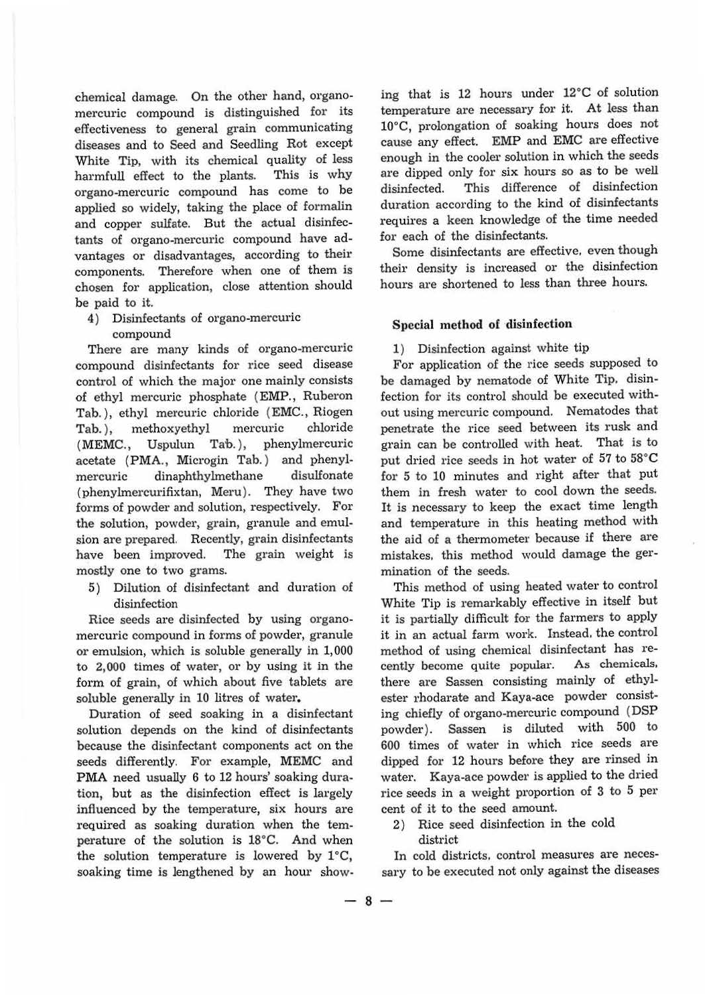chemical damage. On the other hand, organomercuric compound is distinguished for its effectiveness to general grain communicating diseases and to Seed and Seedling Rot except White Tip, with its chemical quality of less harmfull effect to the plants. This is why organo-mercuric compound has come to be applied so widely, taking the place of formalin and copper sulfate. But the actual disinfectants of organo-mercuric compound have advantages or disadvantages, according to their components. Therefore when one of them is chosen for application, close attention should be paid to it.

- 4) Disinfectants of organo-mercuric
	- compound

There are many kinds of organo-mercuric compound disinfectants for rice seed disease control of which the major one mainly consists of ethyl mercuric phosphate **(EMP.,** Ruberon Tab. ), ethyl mercuric chloride **(EMC.,** Riogen Tab. ), methoxyethyl mercuric chloride (MEMC., Uspulun Tab.), phenylmercuric acetate **(PMA.,** Microgin Tab. ) and phenylmercuric dinaphthylmethane disulfonate (phenylmercurifixtan, Meru). They have two forms of powder and solution, respectively. For the solution, powder, grain, granule and emulsion are prepared. Recently, grain disinfectants have been improved. The grain weight is mostly one to two grams.

5) Dilution of disinfectant and duration of disinfection

Rice seeds are disinfected by using organomercuric compound in forms of powder, granule or emulsion, which is soluble generally in 1,000 to 2,000 times of water, or by using it in the form of grain, of which about five tablets are soluble generally in 10 litres of water.

Duration of seed soaking in a disinfectant solution depends on the kind of disinfectants because the disinfectant components act on the seeds differently. For example, **MEMC** and PMA need usually 6 to 12 hours' soaking duration, but as the disinfection effect is largely influenced by the temperature, six hours are required as soaking duration when the temperature of the solution is l8°C. And when the solution temperature is lowered by  $1^{\circ}C$ , soaking time is lengthened by an hour showing that is 12 hours under 12°C of solution temperature are necessary for it. At less than 10°C, prolongation of soaking hours does not cause any effect. EMP and EMC are effective enough in the cooler solution in which the seeds are dipped only for six hours so as to be well disinfected. This difference of disinfection duration according to the kind of disinfectants requires a keen knowledge of the time needed for each of the disinfectants.

Some disinfectants are effective. even though their density is increased or the disinfection hours are shortened to less than three hours.

## **Special method of disinfection**

1) Disinfection against white tip

For application of the rice seeds supposed to be damaged by nematode of White Tip. disinfection for its control should be executed without using mercuric compound. Nematodes that penetrate the rice seed between its rusk and grain can be controlled with heat. That is to put dried rice seeds in hot water of 57 to 58°C for 5 to 10 minutes and right after that put them in fresh water to cool down the seeds. It is necessary to keep the exact time length and temperature in this heating method with the aid of a thermometer because if there are mistakes. this method would damage the germination of the seeds.

This method of using heated water to control White Tip is remarkably effective in itself but it is partially difficult for the farmers to apply it in an actual farm work. Instead. the control method of using chemical disinfectant has recently become quite popular. As chemicals, there are Sassen consisting mainly of ethylester rhodarate and Kaya-ace powder consisting chiefly of organo-mercuric compound (DSP powder). Sassen is diluted with 500 to 600 times of water in which rice seeds are dipped for 12 hours before they are rinsed in water. Kaya-ace powder is applied to the dried rice seeds in a weight proportion of 3 to 5 per cent of it to the seed amount.

2) Rice seed disinfection in the cold district

In cold districts, control measures are necessary to be executed not only against the diseases